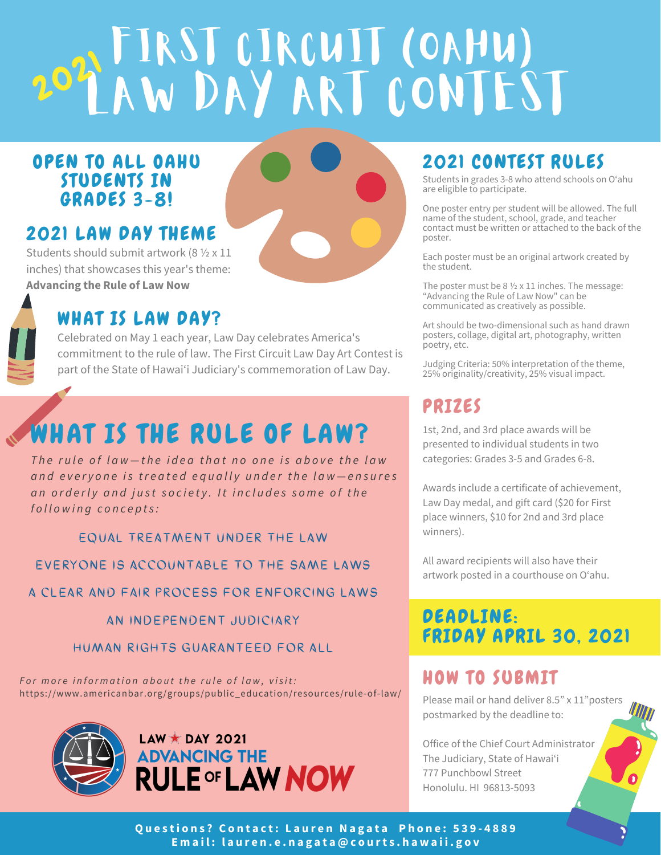# FIRST CIRCUIT (OAHU) LAW DAY ARI CONIESI  $20^{2}$

### OPEN TO ALL OAHU STUDENTS IN GRADES 3-8!

# 2021 LAW DAY THEME

Students should submit artwork (8 ½ x 11 inches) that showcases this year's theme: **Advancing the Rule of Law Now**

## WHAT IS LAW DAY?

Celebrated on May 1 each year, Law Day celebrates America's commitment to the rule of law. The First Circuit Law Day Art Contest is part of the State of Hawai'i Judiciary's commemoration of Law Day.

# WHAT IS THE RULE OF LAW?

The rule of law-the idea that no one is above the law and everyone is treated equally under the law-ensures an orderly and just society. It includes some of the *f o l l o w i n g c o n c e p t s :*

EQUAL TREATMENT UNDER THE LAW

EVERYONE IS ACCOUNTABLE TO THE SAME LAWS

A CLEAR AND FAIR PROCESS FOR ENFORCING LAWS

AN INDEPENDENT JUDICIARY

HUMAN RIGHTS GUARANTEED FOR ALL

For more information about the rule of law, visit: https://www.americanbar.org/groups/public\_education/resources/rule-of-law/





# 2021 CONTEST RULES

Students in grades 3-8 who attend schools on O'ahu are eligible to participate.

One poster entry per student will be allowed. The full name of the student, school, grade, and teacher contact must be written or attached to the back of the poster.

Each poster must be an original artwork created by the student.

The poster must be 8 ½ x 11 inches. The message: "Advancing the Rule of Law Now" can be communicated as creatively as possible.

Art should be two-dimensional such as hand drawn posters, collage, digital art, photography, written poetry, etc.

Judging Criteria: 50% interpretation of the theme, 25% originality/creativity, 25% visual impact.

# PRIZES

1st, 2nd, and 3rd place awards will be presented to individual students in two categories: Grades 3-5 and Grades 6-8.

Awards include a certificate of achievement, Law Day medal, and gift card (\$20 for First place winners, \$10 for 2nd and 3rd place winners).

All award recipients will also have their artwork posted in a courthouse on O'ahu.

## DEADLINE: FRIDAY APRIL 30, 2021

### HOW TO SUBMIT

Please mail or hand deliver 8.5" x 11" posters postmarked by the deadline to:

Office of the Chief Court Administrator The Judiciary, State of Hawai'i 777 Punchbowl Street Honolulu. HI 96813-5093

Questions? Contact: Lauren Nagata Phone: 539-4889 Email: lauren.e.nagata@courts.hawaii.gov